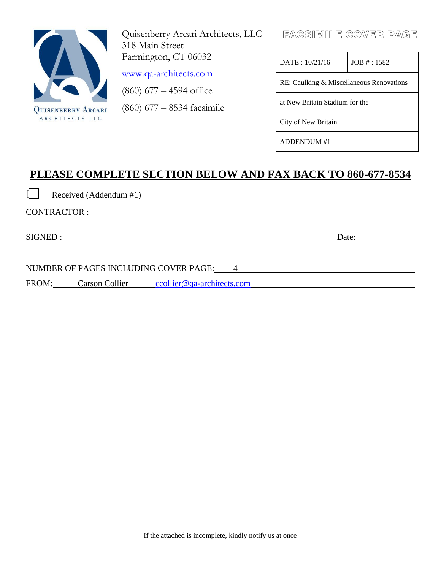

Quisenberry Arcari Architects, LLC 318 Main Street Farmington, CT 06032

[www.qa-architects.com](http://www.qa-architects.com/)

(860) 677 – 4594 office

(860) 677 – 8534 facsimile

FACSIMILE COVER PAGE

| DATA: 10/21/16                           | JOB # : 1582 |  |  |  |  |
|------------------------------------------|--------------|--|--|--|--|
| RE: Caulking & Miscellaneous Renovations |              |  |  |  |  |
| at New Britain Stadium for the           |              |  |  |  |  |
| City of New Britain                      |              |  |  |  |  |
| DDENDUM #1                               |              |  |  |  |  |

# **PLEASE COMPLETE SECTION BELOW AND FAX BACK TO 860-677-8534**

Received (Addendum #1)

CONTRACTOR :

SIGNED : Date: Date:

NUMBER OF PAGES INCLUDING COVER PAGE: 4

FROM: Carson Collier collier@qa-architects.com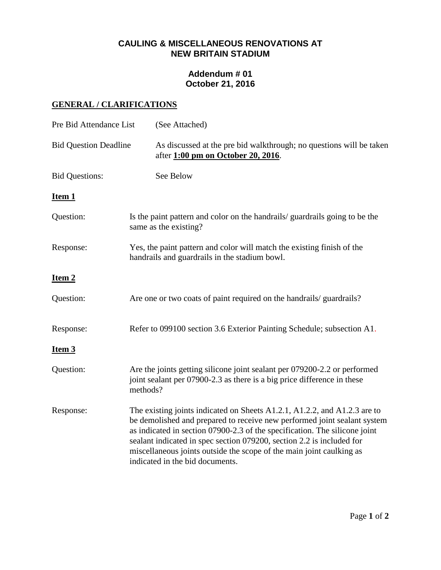## **CAULING & MISCELLANEOUS RENOVATIONS AT NEW BRITAIN STADIUM**

# **Addendum # 01 October 21, 2016**

# **GENERAL / CLARIFICATIONS**

| Pre Bid Attendance List      | (See Attached)                                                                                                                                                                                                                                                                                                                                                                                                          |
|------------------------------|-------------------------------------------------------------------------------------------------------------------------------------------------------------------------------------------------------------------------------------------------------------------------------------------------------------------------------------------------------------------------------------------------------------------------|
| <b>Bid Question Deadline</b> | As discussed at the pre bid walkthrough; no questions will be taken<br>after 1:00 pm on October 20, 2016.                                                                                                                                                                                                                                                                                                               |
| <b>Bid Questions:</b>        | See Below                                                                                                                                                                                                                                                                                                                                                                                                               |
| Item <sub>1</sub>            |                                                                                                                                                                                                                                                                                                                                                                                                                         |
| Question:                    | Is the paint pattern and color on the handrails/ guardrails going to be the<br>same as the existing?                                                                                                                                                                                                                                                                                                                    |
| Response:                    | Yes, the paint pattern and color will match the existing finish of the<br>handrails and guardrails in the stadium bowl.                                                                                                                                                                                                                                                                                                 |
| Item 2                       |                                                                                                                                                                                                                                                                                                                                                                                                                         |
| Question:                    | Are one or two coats of paint required on the handrails/ guardrails?                                                                                                                                                                                                                                                                                                                                                    |
| Response:                    | Refer to 099100 section 3.6 Exterior Painting Schedule; subsection A1.                                                                                                                                                                                                                                                                                                                                                  |
| Item 3                       |                                                                                                                                                                                                                                                                                                                                                                                                                         |
| Question:                    | Are the joints getting silicone joint sealant per 079200-2.2 or performed<br>joint sealant per 07900-2.3 as there is a big price difference in these<br>methods?                                                                                                                                                                                                                                                        |
| Response:                    | The existing joints indicated on Sheets A1.2.1, A1.2.2, and A1.2.3 are to<br>be demolished and prepared to receive new performed joint sealant system<br>as indicated in section 07900-2.3 of the specification. The silicone joint<br>sealant indicated in spec section 079200, section 2.2 is included for<br>miscellaneous joints outside the scope of the main joint caulking as<br>indicated in the bid documents. |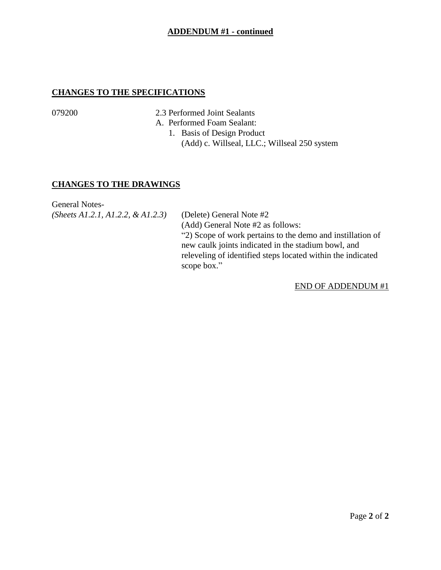### **ADDENDUM #1 - continued**

### **CHANGES TO THE SPECIFICATIONS**

079200 2.3 Performed Joint Sealants

A. Performed Foam Sealant:

1. Basis of Design Product (Add) c. Willseal, LLC.; Willseal 250 system

### **CHANGES TO THE DRAWINGS**

General Notes- *(Sheets A1.2.1, A1.2.2, & A1.2.3)* (Delete) General Note #2

(Add) General Note #2 as follows: "2) Scope of work pertains to the demo and instillation of new caulk joints indicated in the stadium bowl, and releveling of identified steps located within the indicated scope box."

END OF ADDENDUM #1